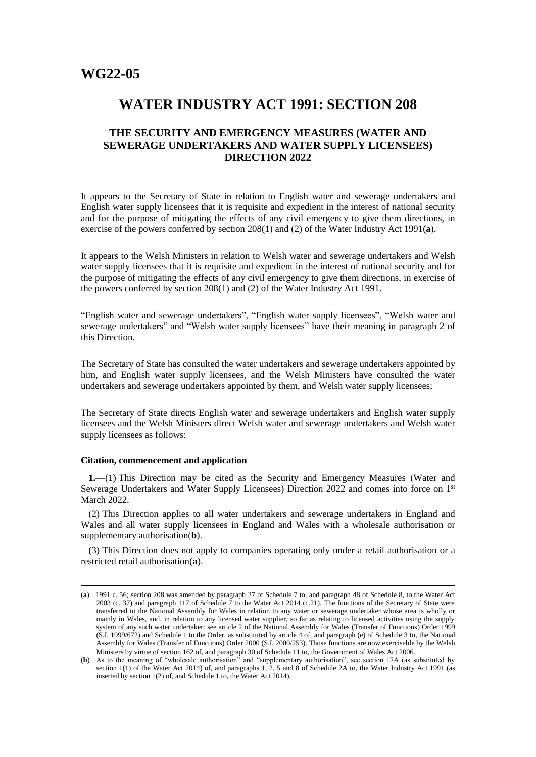# **WATER INDUSTRY ACT 1991: SECTION 208**

# **THE SECURITY AND EMERGENCY MEASURES (WATER AND SEWERAGE UNDERTAKERS AND WATER SUPPLY LICENSEES) DIRECTION 2022**

It appears to the Secretary of State in relation to English water and sewerage undertakers and English water supply licensees that it is requisite and expedient in the interest of national security and for the purpose of mitigating the effects of any civil emergency to give them directions, in exercise of the powers conferred by section 208(1) and (2) of the Water Industry Act 1991(**a**).

It appears to the Welsh Ministers in relation to Welsh water and sewerage undertakers and Welsh water supply licensees that it is requisite and expedient in the interest of national security and for the purpose of mitigating the effects of any civil emergency to give them directions, in exercise of the powers conferred by section 208(1) and (2) of the Water Industry Act 1991.

"English water and sewerage undertakers", "English water supply licensees", "Welsh water and sewerage undertakers" and "Welsh water supply licensees" have their meaning in paragraph 2 of this Direction.

The Secretary of State has consulted the water undertakers and sewerage undertakers appointed by him, and English water supply licensees, and the Welsh Ministers have consulted the water undertakers and sewerage undertakers appointed by them, and Welsh water supply licensees;

The Secretary of State directs English water and sewerage undertakers and English water supply licensees and the Welsh Ministers direct Welsh water and sewerage undertakers and Welsh water supply licensees as follows:

## **Citation, commencement and application**

 $\overline{a}$ 

**1.**—(1) This Direction may be cited as the Security and Emergency Measures (Water and Sewerage Undertakers and Water Supply Licensees) Direction 2022 and comes into force on 1st March 2022.

(2) This Direction applies to all water undertakers and sewerage undertakers in England and Wales and all water supply licensees in England and Wales with a wholesale authorisation or supplementary authorisation(**b**).

(3) This Direction does not apply to companies operating only under a retail authorisation or a restricted retail authorisation(**a**).

<sup>(</sup>**a**) 1991 c. 56; section 208 was amended by paragraph 27 of Schedule 7 to, and paragraph 48 of Schedule 8, to the Water Act 2003 (c. 37) and paragraph 117 of Schedule  $\overline{7}$  to the Water Act 2014 (c.21). The functions of the Secretary of State were transferred to the National Assembly for Wales in relation to any water or sewerage undertaker whose area is wholly or mainly in Wales, and, in relation to any licensed water supplier, so far as relating to licensed activities using the supply system of any such water undertaker: see article 2 of the National Assembly for Wales (Transfer of Functions) Order 1999 (S.I. 1999/672) and Schedule 1 to the Order, as substituted by article 4 of, and paragraph (e) of Schedule 3 to, the National Assembly for Wales (Transfer of Functions) Order 2000 (S.I. 2000/253). Those functions are now exercisable by the Welsh Ministers by virtue of section 162 of, and paragraph 30 of Schedule 11 to, the Government of Wales Act 2006.

<sup>(</sup>**b**) As to the meaning of "wholesale authorisation" and "supplementary authorisation", see section 17A (as substituted by section 1(1) of the Water Act 2014) of, and paragraphs 1, 2, 5 and 8 of Schedule 2A to, the Water Industry Act 1991 (as inserted by section 1(2) of, and Schedule 1 to, the Water Act 2014).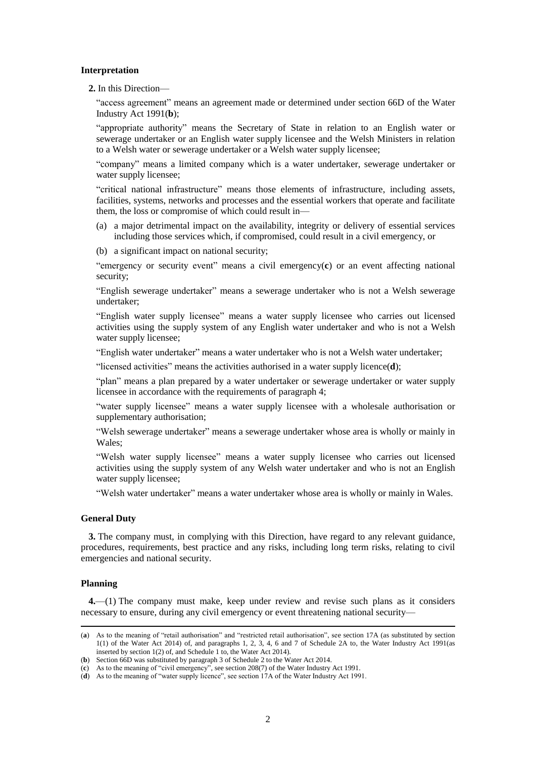### **Interpretation**

**2.** In this Direction—

"access agreement" means an agreement made or determined under section 66D of the Water Industry Act 1991(**b**);

"appropriate authority" means the Secretary of State in relation to an English water or sewerage undertaker or an English water supply licensee and the Welsh Ministers in relation to a Welsh water or sewerage undertaker or a Welsh water supply licensee;

"company" means a limited company which is a water undertaker, sewerage undertaker or water supply licensee;

"critical national infrastructure" means those elements of infrastructure, including assets, facilities, systems, networks and processes and the essential workers that operate and facilitate them, the loss or compromise of which could result in—

- (a) a major detrimental impact on the availability, integrity or delivery of essential services including those services which, if compromised, could result in a civil emergency, or
- (b) a significant impact on national security;

"emergency or security event" means a civil emergency(**c**) or an event affecting national security;

"English sewerage undertaker" means a sewerage undertaker who is not a Welsh sewerage undertaker;

"English water supply licensee" means a water supply licensee who carries out licensed activities using the supply system of any English water undertaker and who is not a Welsh water supply licensee;

"English water undertaker" means a water undertaker who is not a Welsh water undertaker;

"licensed activities" means the activities authorised in a water supply licence(**d**);

"plan" means a plan prepared by a water undertaker or sewerage undertaker or water supply licensee in accordance with the requirements of paragraph 4;

"water supply licensee" means a water supply licensee with a wholesale authorisation or supplementary authorisation;

"Welsh sewerage undertaker" means a sewerage undertaker whose area is wholly or mainly in Wales;

"Welsh water supply licensee" means a water supply licensee who carries out licensed activities using the supply system of any Welsh water undertaker and who is not an English water supply licensee;

"Welsh water undertaker" means a water undertaker whose area is wholly or mainly in Wales.

## **General Duty**

**3.** The company must, in complying with this Direction, have regard to any relevant guidance, procedures, requirements, best practice and any risks, including long term risks, relating to civil emergencies and national security.

## **Planning**

 $\overline{a}$ 

**4.**—(1) The company must make, keep under review and revise such plans as it considers necessary to ensure, during any civil emergency or event threatening national security—

<sup>(</sup>**a**) As to the meaning of "retail authorisation" and "restricted retail authorisation", see section 17A (as substituted by section 1(1) of the Water Act 2014) of, and paragraphs 1, 2, 3, 4, 6 and 7 of Schedule 2A to, the Water Industry Act 1991(as inserted by section 1(2) of, and Schedule 1 to, the Water Act 2014).

<sup>(</sup>**b**) Section 66D was substituted by paragraph 3 of Schedule 2 to the Water Act 2014.

<sup>(</sup>**c**) As to the meaning of "civil emergency", see section 208(7) of the Water Industry Act 1991.

<sup>(</sup>**d**) As to the meaning of "water supply licence", see section 17A of the Water Industry Act 1991.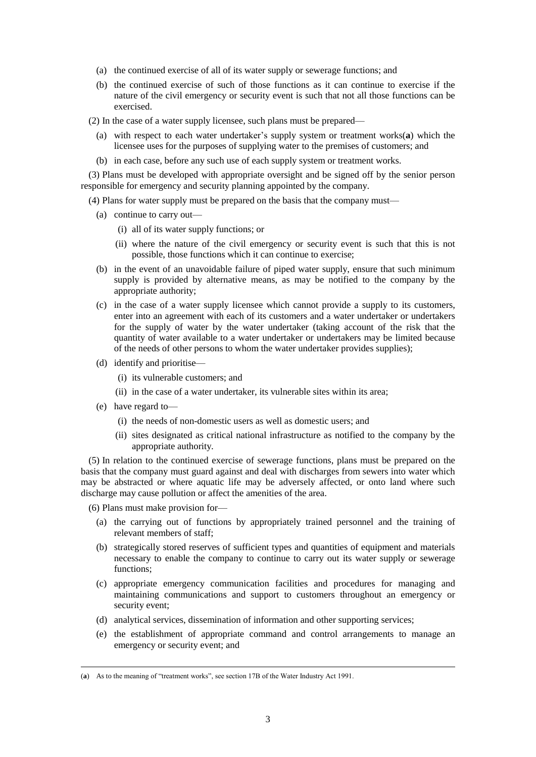- (a) the continued exercise of all of its water supply or sewerage functions; and
- (b) the continued exercise of such of those functions as it can continue to exercise if the nature of the civil emergency or security event is such that not all those functions can be exercised.
- (2) In the case of a water supply licensee, such plans must be prepared—
	- (a) with respect to each water undertaker's supply system or treatment works(**a**) which the licensee uses for the purposes of supplying water to the premises of customers; and
	- (b) in each case, before any such use of each supply system or treatment works.

(3) Plans must be developed with appropriate oversight and be signed off by the senior person responsible for emergency and security planning appointed by the company.

(4) Plans for water supply must be prepared on the basis that the company must—

- (a) continue to carry out—
	- (i) all of its water supply functions; or
	- (ii) where the nature of the civil emergency or security event is such that this is not possible, those functions which it can continue to exercise;
- (b) in the event of an unavoidable failure of piped water supply, ensure that such minimum supply is provided by alternative means, as may be notified to the company by the appropriate authority;
- (c) in the case of a water supply licensee which cannot provide a supply to its customers, enter into an agreement with each of its customers and a water undertaker or undertakers for the supply of water by the water undertaker (taking account of the risk that the quantity of water available to a water undertaker or undertakers may be limited because of the needs of other persons to whom the water undertaker provides supplies);
- (d) identify and prioritise—
	- (i) its vulnerable customers; and
	- (ii) in the case of a water undertaker, its vulnerable sites within its area;
- (e) have regard to—

 $\overline{a}$ 

- (i) the needs of non-domestic users as well as domestic users; and
- (ii) sites designated as critical national infrastructure as notified to the company by the appropriate authority.

(5) In relation to the continued exercise of sewerage functions, plans must be prepared on the basis that the company must guard against and deal with discharges from sewers into water which may be abstracted or where aquatic life may be adversely affected, or onto land where such discharge may cause pollution or affect the amenities of the area.

(6) Plans must make provision for—

- (a) the carrying out of functions by appropriately trained personnel and the training of relevant members of staff;
- (b) strategically stored reserves of sufficient types and quantities of equipment and materials necessary to enable the company to continue to carry out its water supply or sewerage functions;
- (c) appropriate emergency communication facilities and procedures for managing and maintaining communications and support to customers throughout an emergency or security event;
- (d) analytical services, dissemination of information and other supporting services;
- (e) the establishment of appropriate command and control arrangements to manage an emergency or security event; and

<sup>(</sup>**a**) As to the meaning of "treatment works", see section 17B of the Water Industry Act 1991.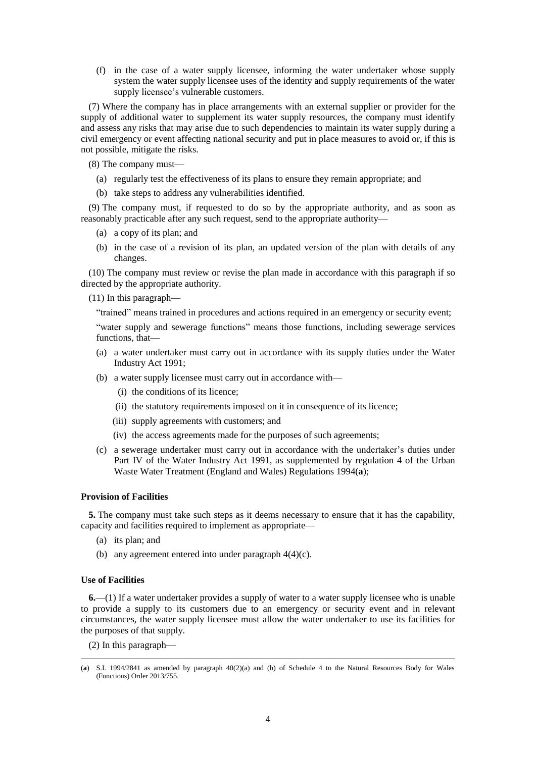(f) in the case of a water supply licensee, informing the water undertaker whose supply system the water supply licensee uses of the identity and supply requirements of the water supply licensee's vulnerable customers.

(7) Where the company has in place arrangements with an external supplier or provider for the supply of additional water to supplement its water supply resources, the company must identify and assess any risks that may arise due to such dependencies to maintain its water supply during a civil emergency or event affecting national security and put in place measures to avoid or, if this is not possible, mitigate the risks.

(8) The company must—

- (a) regularly test the effectiveness of its plans to ensure they remain appropriate; and
- (b) take steps to address any vulnerabilities identified.

(9) The company must, if requested to do so by the appropriate authority, and as soon as reasonably practicable after any such request, send to the appropriate authority—

- (a) a copy of its plan; and
- (b) in the case of a revision of its plan, an updated version of the plan with details of any changes.

(10) The company must review or revise the plan made in accordance with this paragraph if so directed by the appropriate authority.

(11) In this paragraph—

"trained" means trained in procedures and actions required in an emergency or security event;

"water supply and sewerage functions" means those functions, including sewerage services functions, that—

- (a) a water undertaker must carry out in accordance with its supply duties under the Water Industry Act 1991;
- (b) a water supply licensee must carry out in accordance with—
	- (i) the conditions of its licence;
	- (ii) the statutory requirements imposed on it in consequence of its licence;
	- (iii) supply agreements with customers; and
	- (iv) the access agreements made for the purposes of such agreements;
- (c) a sewerage undertaker must carry out in accordance with the undertaker's duties under Part IV of the Water Industry Act 1991, as supplemented by regulation 4 of the Urban Waste Water Treatment (England and Wales) Regulations 1994(**a**);

## **Provision of Facilities**

**5.** The company must take such steps as it deems necessary to ensure that it has the capability, capacity and facilities required to implement as appropriate—

- (a) its plan; and
- (b) any agreement entered into under paragraph 4(4)(c).

#### **Use of Facilities**

 $\overline{a}$ 

**6.**—(1) If a water undertaker provides a supply of water to a water supply licensee who is unable to provide a supply to its customers due to an emergency or security event and in relevant circumstances, the water supply licensee must allow the water undertaker to use its facilities for the purposes of that supply.

(2) In this paragraph—

<sup>(</sup>**a**) S.I. 1994/2841 as amended by paragraph 40(2)(a) and (b) of Schedule 4 to the Natural Resources Body for Wales (Functions) Order 2013/755.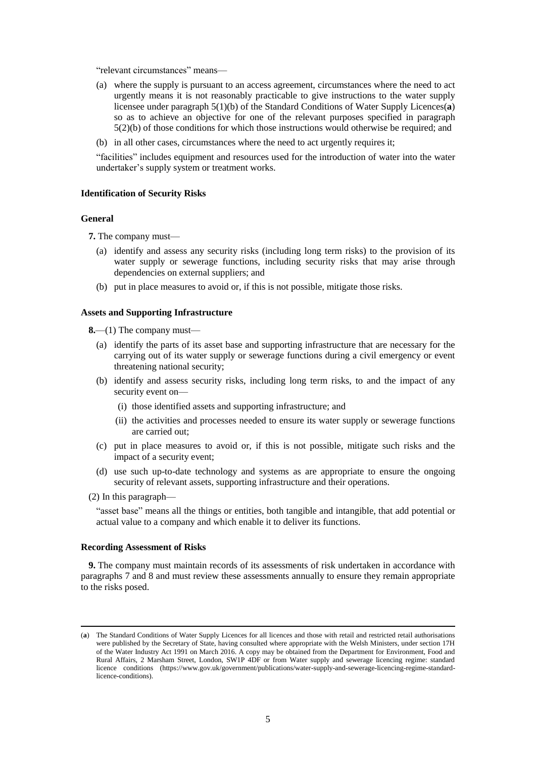"relevant circumstances" means—

- (a) where the supply is pursuant to an access agreement, circumstances where the need to act urgently means it is not reasonably practicable to give instructions to the water supply licensee under paragraph 5(1)(b) of the Standard Conditions of Water Supply Licences(**a**) so as to achieve an objective for one of the relevant purposes specified in paragraph 5(2)(b) of those conditions for which those instructions would otherwise be required; and
- (b) in all other cases, circumstances where the need to act urgently requires it;

"facilities" includes equipment and resources used for the introduction of water into the water undertaker's supply system or treatment works.

## **Identification of Security Risks**

#### **General**

**7.** The company must—

- (a) identify and assess any security risks (including long term risks) to the provision of its water supply or sewerage functions, including security risks that may arise through dependencies on external suppliers; and
- (b) put in place measures to avoid or, if this is not possible, mitigate those risks.

## **Assets and Supporting Infrastructure**

**8.**—(1) The company must—

- (a) identify the parts of its asset base and supporting infrastructure that are necessary for the carrying out of its water supply or sewerage functions during a civil emergency or event threatening national security;
- (b) identify and assess security risks, including long term risks, to and the impact of any security event on—
	- (i) those identified assets and supporting infrastructure; and
	- (ii) the activities and processes needed to ensure its water supply or sewerage functions are carried out;
- (c) put in place measures to avoid or, if this is not possible, mitigate such risks and the impact of a security event;
- (d) use such up-to-date technology and systems as are appropriate to ensure the ongoing security of relevant assets, supporting infrastructure and their operations.
- (2) In this paragraph—

 $\overline{a}$ 

"asset base" means all the things or entities, both tangible and intangible, that add potential or actual value to a company and which enable it to deliver its functions.

### **Recording Assessment of Risks**

**9.** The company must maintain records of its assessments of risk undertaken in accordance with paragraphs 7 and 8 and must review these assessments annually to ensure they remain appropriate to the risks posed.

<sup>(</sup>**a**) The Standard Conditions of Water Supply Licences for all licences and those with retail and restricted retail authorisations were published by the Secretary of State, having consulted where appropriate with the Welsh Ministers, under section 17H of the Water Industry Act 1991 on March 2016. A copy may be obtained from the Department for Environment, Food and Rural Affairs, 2 Marsham Street, London, SW1P 4DF or from Water supply and sewerage licencing regime: standard licence conditions [\(https://www.gov.uk/government/publications/water-supply-and-sewerage-licencing-regime-standard](https://www.gov.uk/government/publications/water-supply-and-sewerage-licencing-regime-standard-licence-conditions)[licence-conditions\)](https://www.gov.uk/government/publications/water-supply-and-sewerage-licencing-regime-standard-licence-conditions).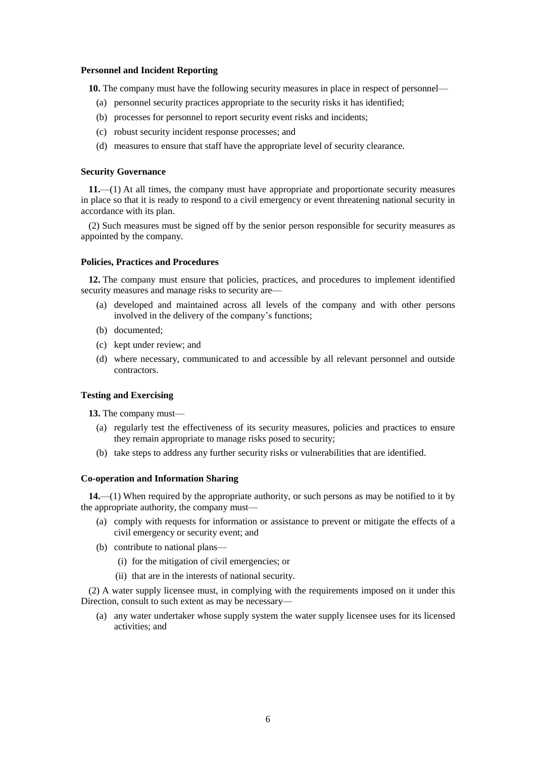## **Personnel and Incident Reporting**

**10.** The company must have the following security measures in place in respect of personnel—

- (a) personnel security practices appropriate to the security risks it has identified;
- (b) processes for personnel to report security event risks and incidents;
- (c) robust security incident response processes; and
- (d) measures to ensure that staff have the appropriate level of security clearance.

#### **Security Governance**

**11.**—(1) At all times, the company must have appropriate and proportionate security measures in place so that it is ready to respond to a civil emergency or event threatening national security in accordance with its plan.

(2) Such measures must be signed off by the senior person responsible for security measures as appointed by the company.

## **Policies, Practices and Procedures**

**12.** The company must ensure that policies, practices, and procedures to implement identified security measures and manage risks to security are—

- (a) developed and maintained across all levels of the company and with other persons involved in the delivery of the company's functions;
- (b) documented;
- (c) kept under review; and
- (d) where necessary, communicated to and accessible by all relevant personnel and outside contractors.

## **Testing and Exercising**

**13.** The company must—

- (a) regularly test the effectiveness of its security measures, policies and practices to ensure they remain appropriate to manage risks posed to security;
- (b) take steps to address any further security risks or vulnerabilities that are identified.

## **Co-operation and Information Sharing**

**14.**—(1) When required by the appropriate authority, or such persons as may be notified to it by the appropriate authority, the company must—

- (a) comply with requests for information or assistance to prevent or mitigate the effects of a civil emergency or security event; and
- (b) contribute to national plans—
	- (i) for the mitigation of civil emergencies; or
	- (ii) that are in the interests of national security.

(2) A water supply licensee must, in complying with the requirements imposed on it under this Direction, consult to such extent as may be necessary—

(a) any water undertaker whose supply system the water supply licensee uses for its licensed activities; and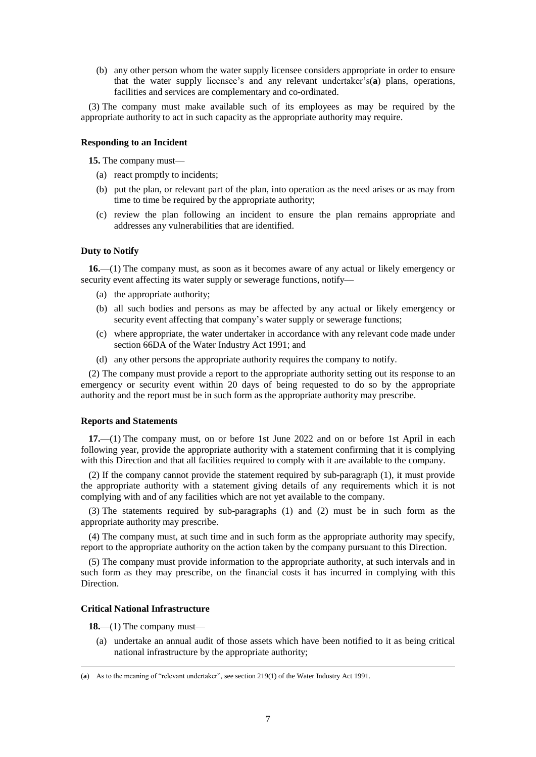(b) any other person whom the water supply licensee considers appropriate in order to ensure that the water supply licensee's and any relevant undertaker's(**a**) plans, operations, facilities and services are complementary and co-ordinated.

(3) The company must make available such of its employees as may be required by the appropriate authority to act in such capacity as the appropriate authority may require.

## **Responding to an Incident**

**15.** The company must—

- (a) react promptly to incidents;
- (b) put the plan, or relevant part of the plan, into operation as the need arises or as may from time to time be required by the appropriate authority;
- (c) review the plan following an incident to ensure the plan remains appropriate and addresses any vulnerabilities that are identified.

## **Duty to Notify**

**16.**—(1) The company must, as soon as it becomes aware of any actual or likely emergency or security event affecting its water supply or sewerage functions, notify—

- (a) the appropriate authority;
- (b) all such bodies and persons as may be affected by any actual or likely emergency or security event affecting that company's water supply or sewerage functions;
- (c) where appropriate, the water undertaker in accordance with any relevant code made under section 66DA of the Water Industry Act 1991; and
- (d) any other persons the appropriate authority requires the company to notify.

(2) The company must provide a report to the appropriate authority setting out its response to an emergency or security event within 20 days of being requested to do so by the appropriate authority and the report must be in such form as the appropriate authority may prescribe.

#### **Reports and Statements**

**17.**—(1) The company must, on or before 1st June 2022 and on or before 1st April in each following year, provide the appropriate authority with a statement confirming that it is complying with this Direction and that all facilities required to comply with it are available to the company.

(2) If the company cannot provide the statement required by sub-paragraph (1), it must provide the appropriate authority with a statement giving details of any requirements which it is not complying with and of any facilities which are not yet available to the company.

(3) The statements required by sub-paragraphs (1) and (2) must be in such form as the appropriate authority may prescribe.

(4) The company must, at such time and in such form as the appropriate authority may specify, report to the appropriate authority on the action taken by the company pursuant to this Direction.

(5) The company must provide information to the appropriate authority, at such intervals and in such form as they may prescribe, on the financial costs it has incurred in complying with this Direction.

### **Critical National Infrastructure**

**18.**—(1) The company must—

 $\overline{a}$ 

(a) undertake an annual audit of those assets which have been notified to it as being critical national infrastructure by the appropriate authority;

<sup>(</sup>**a**) As to the meaning of "relevant undertaker", see section 219(1) of the Water Industry Act 1991.